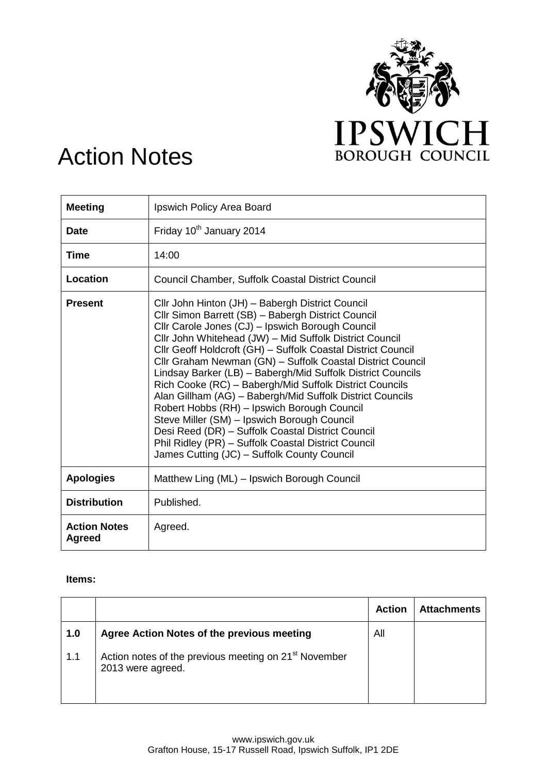

## Action Notes

| <b>Meeting</b>                | Ipswich Policy Area Board                                                                                                                                                                                                                                                                                                                                                                                                                                                                                                                                                                                                                                                                                                                                                                           |
|-------------------------------|-----------------------------------------------------------------------------------------------------------------------------------------------------------------------------------------------------------------------------------------------------------------------------------------------------------------------------------------------------------------------------------------------------------------------------------------------------------------------------------------------------------------------------------------------------------------------------------------------------------------------------------------------------------------------------------------------------------------------------------------------------------------------------------------------------|
| <b>Date</b>                   | Friday 10 <sup>th</sup> January 2014                                                                                                                                                                                                                                                                                                                                                                                                                                                                                                                                                                                                                                                                                                                                                                |
| Time                          | 14:00                                                                                                                                                                                                                                                                                                                                                                                                                                                                                                                                                                                                                                                                                                                                                                                               |
| Location                      | <b>Council Chamber, Suffolk Coastal District Council</b>                                                                                                                                                                                                                                                                                                                                                                                                                                                                                                                                                                                                                                                                                                                                            |
| <b>Present</b>                | Cllr John Hinton (JH) - Babergh District Council<br>Cllr Simon Barrett (SB) - Babergh District Council<br>Cllr Carole Jones (CJ) - Ipswich Borough Council<br>Cllr John Whitehead (JW) - Mid Suffolk District Council<br>Cllr Geoff Holdcroft (GH) - Suffolk Coastal District Council<br>Cllr Graham Newman (GN) - Suffolk Coastal District Council<br>Lindsay Barker (LB) - Babergh/Mid Suffolk District Councils<br>Rich Cooke (RC) - Babergh/Mid Suffolk District Councils<br>Alan Gillham (AG) - Babergh/Mid Suffolk District Councils<br>Robert Hobbs (RH) - Ipswich Borough Council<br>Steve Miller (SM) - Ipswich Borough Council<br>Desi Reed (DR) - Suffolk Coastal District Council<br>Phil Ridley (PR) - Suffolk Coastal District Council<br>James Cutting (JC) - Suffolk County Council |
| <b>Apologies</b>              | Matthew Ling (ML) - Ipswich Borough Council                                                                                                                                                                                                                                                                                                                                                                                                                                                                                                                                                                                                                                                                                                                                                         |
| <b>Distribution</b>           | Published.                                                                                                                                                                                                                                                                                                                                                                                                                                                                                                                                                                                                                                                                                                                                                                                          |
| <b>Action Notes</b><br>Agreed | Agreed.                                                                                                                                                                                                                                                                                                                                                                                                                                                                                                                                                                                                                                                                                                                                                                                             |

## **Items:**

|     |                                                                                        | <b>Action</b> | <b>Attachments</b> |
|-----|----------------------------------------------------------------------------------------|---------------|--------------------|
| 1.0 | Agree Action Notes of the previous meeting                                             | All           |                    |
| 1.1 | Action notes of the previous meeting on 21 <sup>st</sup> November<br>2013 were agreed. |               |                    |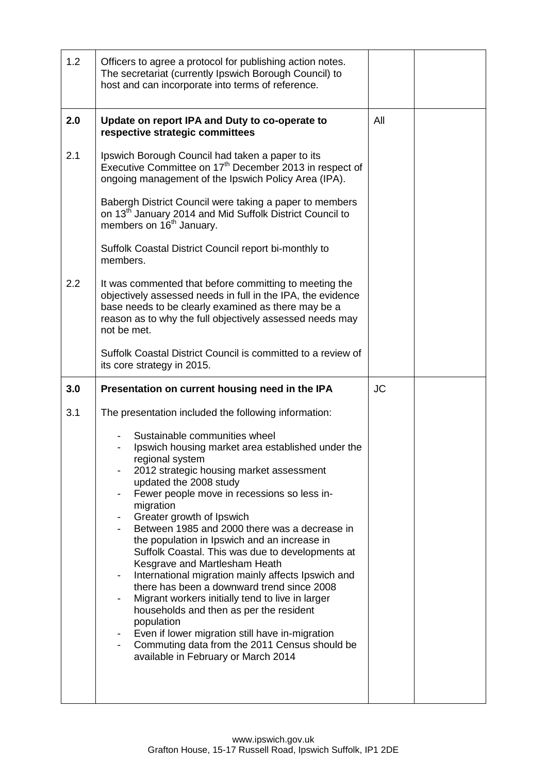| 1.2 | Officers to agree a protocol for publishing action notes.<br>The secretariat (currently Ipswich Borough Council) to<br>host and can incorporate into terms of reference.                                                                                |           |  |
|-----|---------------------------------------------------------------------------------------------------------------------------------------------------------------------------------------------------------------------------------------------------------|-----------|--|
| 2.0 | Update on report IPA and Duty to co-operate to<br>respective strategic committees                                                                                                                                                                       | All       |  |
| 2.1 | Ipswich Borough Council had taken a paper to its<br>Executive Committee on 17 <sup>th</sup> December 2013 in respect of<br>ongoing management of the Ipswich Policy Area (IPA).                                                                         |           |  |
|     | Babergh District Council were taking a paper to members<br>on 13 <sup>th</sup> January 2014 and Mid Suffolk District Council to<br>members on 16 <sup>th</sup> January.                                                                                 |           |  |
|     | Suffolk Coastal District Council report bi-monthly to<br>members.                                                                                                                                                                                       |           |  |
| 2.2 | It was commented that before committing to meeting the<br>objectively assessed needs in full in the IPA, the evidence<br>base needs to be clearly examined as there may be a<br>reason as to why the full objectively assessed needs may<br>not be met. |           |  |
|     | Suffolk Coastal District Council is committed to a review of<br>its core strategy in 2015.                                                                                                                                                              |           |  |
|     |                                                                                                                                                                                                                                                         |           |  |
| 3.0 | Presentation on current housing need in the IPA                                                                                                                                                                                                         | <b>JC</b> |  |
| 3.1 | The presentation included the following information:                                                                                                                                                                                                    |           |  |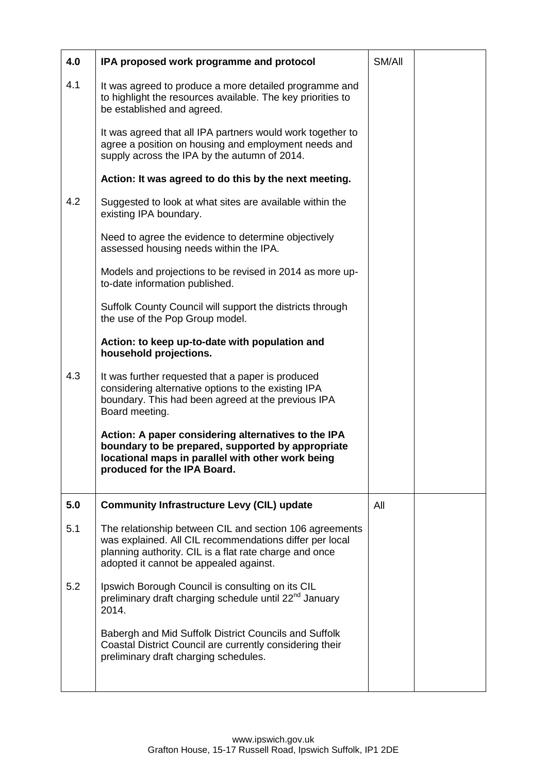| 4.0 | IPA proposed work programme and protocol                                                                                                                                                                               | SM/All |  |
|-----|------------------------------------------------------------------------------------------------------------------------------------------------------------------------------------------------------------------------|--------|--|
| 4.1 | It was agreed to produce a more detailed programme and<br>to highlight the resources available. The key priorities to<br>be established and agreed.                                                                    |        |  |
|     | It was agreed that all IPA partners would work together to<br>agree a position on housing and employment needs and<br>supply across the IPA by the autumn of 2014.                                                     |        |  |
|     | Action: It was agreed to do this by the next meeting.                                                                                                                                                                  |        |  |
| 4.2 | Suggested to look at what sites are available within the<br>existing IPA boundary.                                                                                                                                     |        |  |
|     | Need to agree the evidence to determine objectively<br>assessed housing needs within the IPA.                                                                                                                          |        |  |
|     | Models and projections to be revised in 2014 as more up-<br>to-date information published.                                                                                                                             |        |  |
|     | Suffolk County Council will support the districts through<br>the use of the Pop Group model.                                                                                                                           |        |  |
|     | Action: to keep up-to-date with population and<br>household projections.                                                                                                                                               |        |  |
| 4.3 | It was further requested that a paper is produced<br>considering alternative options to the existing IPA<br>boundary. This had been agreed at the previous IPA<br>Board meeting.                                       |        |  |
|     | Action: A paper considering alternatives to the IPA<br>boundary to be prepared, supported by appropriate<br>locational maps in parallel with other work being<br>produced for the IPA Board.                           |        |  |
| 5.0 | <b>Community Infrastructure Levy (CIL) update</b>                                                                                                                                                                      | All    |  |
| 5.1 | The relationship between CIL and section 106 agreements<br>was explained. All CIL recommendations differ per local<br>planning authority. CIL is a flat rate charge and once<br>adopted it cannot be appealed against. |        |  |
| 5.2 | Ipswich Borough Council is consulting on its CIL<br>preliminary draft charging schedule until 22 <sup>nd</sup> January<br>2014.                                                                                        |        |  |
|     | Babergh and Mid Suffolk District Councils and Suffolk<br>Coastal District Council are currently considering their<br>preliminary draft charging schedules.                                                             |        |  |
|     |                                                                                                                                                                                                                        |        |  |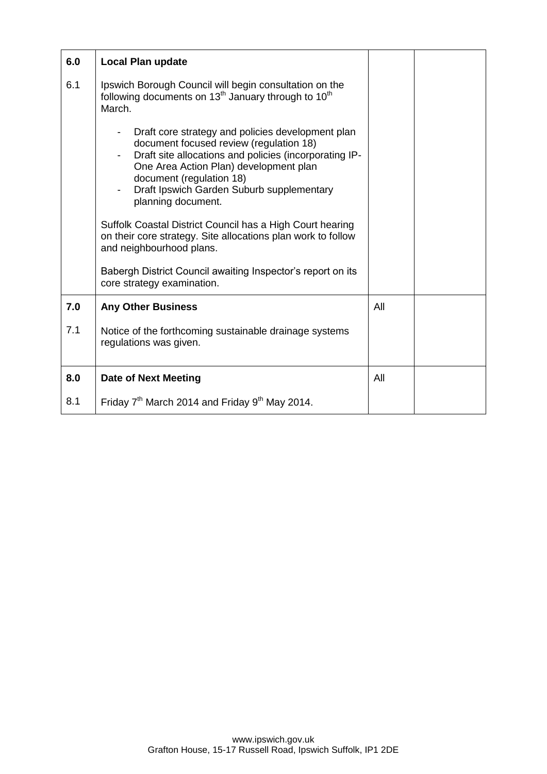| 6.0 | <b>Local Plan update</b>                                                                                                                                                                                                                                                                        |     |  |
|-----|-------------------------------------------------------------------------------------------------------------------------------------------------------------------------------------------------------------------------------------------------------------------------------------------------|-----|--|
| 6.1 | Ipswich Borough Council will begin consultation on the<br>following documents on 13 <sup>th</sup> January through to 10 <sup>th</sup><br>March.                                                                                                                                                 |     |  |
|     | Draft core strategy and policies development plan<br>document focused review (regulation 18)<br>Draft site allocations and policies (incorporating IP-<br>One Area Action Plan) development plan<br>document (regulation 18)<br>Draft Ipswich Garden Suburb supplementary<br>planning document. |     |  |
|     | Suffolk Coastal District Council has a High Court hearing<br>on their core strategy. Site allocations plan work to follow<br>and neighbourhood plans.                                                                                                                                           |     |  |
|     | Babergh District Council awaiting Inspector's report on its<br>core strategy examination.                                                                                                                                                                                                       |     |  |
| 7.0 | <b>Any Other Business</b>                                                                                                                                                                                                                                                                       | All |  |
| 7.1 | Notice of the forthcoming sustainable drainage systems<br>regulations was given.                                                                                                                                                                                                                |     |  |
| 8.0 | <b>Date of Next Meeting</b>                                                                                                                                                                                                                                                                     | All |  |
| 8.1 | Friday $7th$ March 2014 and Friday $9th$ May 2014.                                                                                                                                                                                                                                              |     |  |